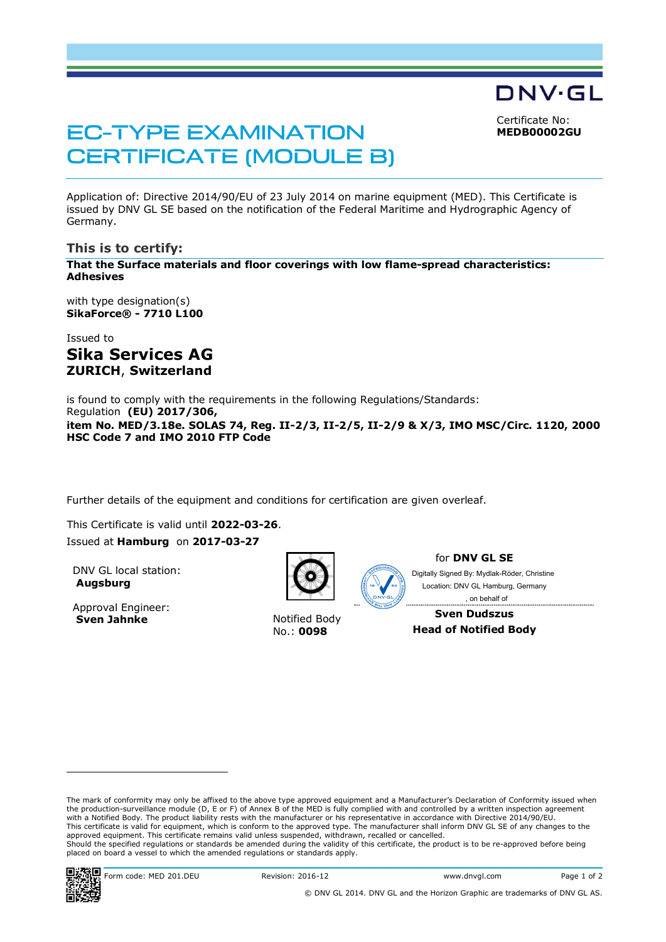Certificate No: **MEDB00002GU**

DNV·GL

# EC-TYPE EXAMINATION CERTIFICATE (MODULE B)

Application of: Directive 2014/90/EU of 23 July 2014 on marine equipment (MED). This Certificate is issued by DNV GL SE based on the notification of the Federal Maritime and Hydrographic Agency of Germany.

#### **This is to certify:**

**That the Surface materials and floor coverings with low flame-spread characteristics: Adhesives**

with type designation(s) **SikaForce® - 7710 L100**

Issued to **Sika Services AG ZURICH**, **Switzerland**

is found to comply with the requirements in the following Regulations/Standards: Regulation **(EU) 2017/306, item No. MED/3.18e. SOLAS 74, Reg. II-2/3, II-2/5, II-2/9 & X/3, IMO MSC/Circ. 1120, 2000 HSC Code 7 and IMO 2010 FTP Code**

Further details of the equipment and conditions for certification are given overleaf.

This Certificate is valid until **2022-03-26**. Issued at **Hamburg** on **2017-03-27**

DNV GL local station: **Augsburg**

Approval Engineer: **Sven Jahnke** Notified Body



No.: **0098**



for **DNV GL SE**

Digitally Signed By: Mydlak-Röder, Christine Location: DNV GL Hamburg, Germany , on behalf of

**Sven Dudszus Head of Notified Body**

The mark of conformity may only be affixed to the above type approved equipment and a Manufacturer's Declaration of Conformity issued when the production-surveillance module (D, E or F) of Annex B of the MED is fully complied with and controlled by a written inspection agreement with a Notified Body. The product liability rests with the manufacturer or his representative in accordance with Directive 2014/90/EU. This certificate is valid for equipment, which is conform to the approved type. The manufacturer shall inform DNV GL SE of any changes to the approved equipment. This certificate remains valid unless suspended, withdrawn, recalled or cancelled. Should the specified regulations or standards be amended during the validity of this certificate, the product is to be re-approved before being placed on board a vessel to which the amended regulations or standards apply.